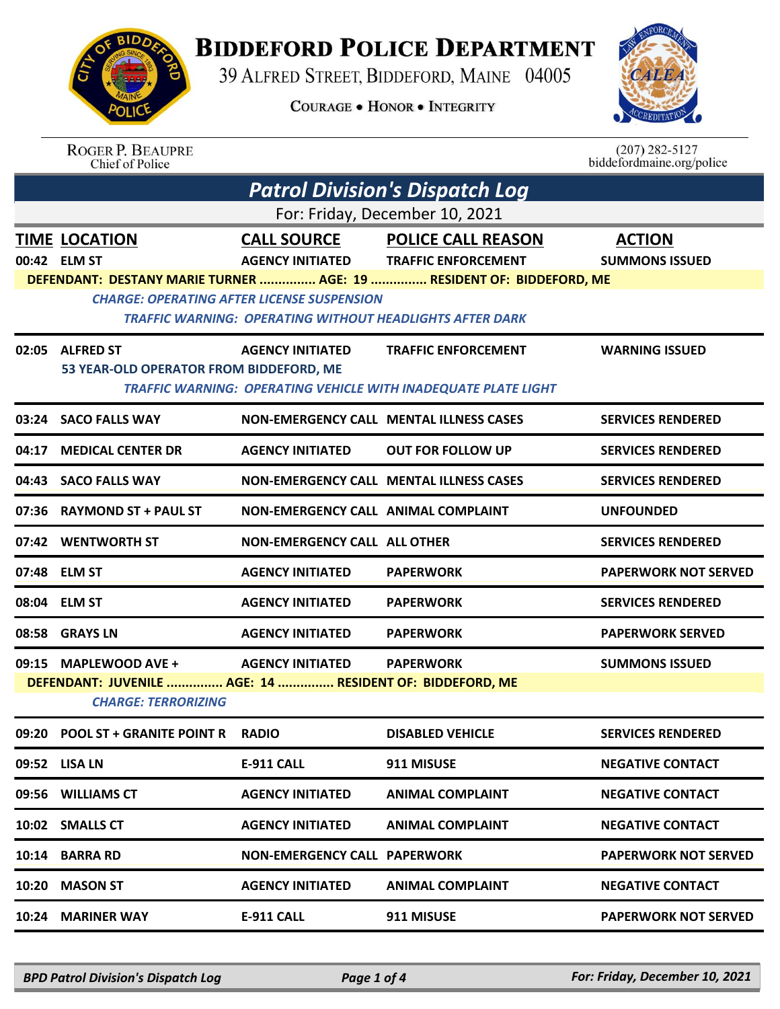**BIDDEFORD POLICE DEPARTMENT** 

39 ALFRED STREET, BIDDEFORD, MAINE 04005

**COURAGE . HONOR . INTEGRITY** 



| <b>ROGER P. BEAUPRE</b> |
|-------------------------|
| Chief of Police         |

 $(207)$  282-5127<br>biddefordmaine.org/police

| <b>Patrol Division's Dispatch Log</b> |                                                                                        |                                                                                                                      |                                                                                                                                 |                                        |  |  |
|---------------------------------------|----------------------------------------------------------------------------------------|----------------------------------------------------------------------------------------------------------------------|---------------------------------------------------------------------------------------------------------------------------------|----------------------------------------|--|--|
| For: Friday, December 10, 2021        |                                                                                        |                                                                                                                      |                                                                                                                                 |                                        |  |  |
|                                       | <b>TIME LOCATION</b><br>00:42 ELM ST                                                   | <b>CALL SOURCE</b><br><b>AGENCY INITIATED</b>                                                                        | <b>POLICE CALL REASON</b><br><b>TRAFFIC ENFORCEMENT</b><br>DEFENDANT: DESTANY MARIE TURNER  AGE: 19  RESIDENT OF: BIDDEFORD, ME | <b>ACTION</b><br><b>SUMMONS ISSUED</b> |  |  |
|                                       |                                                                                        | <b>CHARGE: OPERATING AFTER LICENSE SUSPENSION</b><br><b>TRAFFIC WARNING: OPERATING WITHOUT HEADLIGHTS AFTER DARK</b> |                                                                                                                                 |                                        |  |  |
|                                       | 02:05 ALFRED ST<br>53 YEAR-OLD OPERATOR FROM BIDDEFORD, ME                             | <b>AGENCY INITIATED</b>                                                                                              | <b>TRAFFIC ENFORCEMENT</b><br><b>TRAFFIC WARNING: OPERATING VEHICLE WITH INADEQUATE PLATE LIGHT</b>                             | <b>WARNING ISSUED</b>                  |  |  |
|                                       | 03:24 SACO FALLS WAY                                                                   |                                                                                                                      | <b>NON-EMERGENCY CALL MENTAL ILLNESS CASES</b>                                                                                  | <b>SERVICES RENDERED</b>               |  |  |
| 04:17                                 | <b>MEDICAL CENTER DR</b>                                                               | <b>AGENCY INITIATED</b>                                                                                              | <b>OUT FOR FOLLOW UP</b>                                                                                                        | <b>SERVICES RENDERED</b>               |  |  |
|                                       | 04:43 SACO FALLS WAY                                                                   |                                                                                                                      | <b>NON-EMERGENCY CALL MENTAL ILLNESS CASES</b>                                                                                  | <b>SERVICES RENDERED</b>               |  |  |
|                                       | 07:36 RAYMOND ST + PAUL ST                                                             | <b>NON-EMERGENCY CALL ANIMAL COMPLAINT</b>                                                                           |                                                                                                                                 | <b>UNFOUNDED</b>                       |  |  |
|                                       | 07:42 WENTWORTH ST                                                                     | <b>NON-EMERGENCY CALL ALL OTHER</b>                                                                                  |                                                                                                                                 | <b>SERVICES RENDERED</b>               |  |  |
|                                       | 07:48 ELM ST                                                                           | <b>AGENCY INITIATED</b>                                                                                              | <b>PAPERWORK</b>                                                                                                                | <b>PAPERWORK NOT SERVED</b>            |  |  |
|                                       | 08:04 ELM ST                                                                           | <b>AGENCY INITIATED</b>                                                                                              | <b>PAPERWORK</b>                                                                                                                | <b>SERVICES RENDERED</b>               |  |  |
|                                       | 08:58 GRAYS LN                                                                         | <b>AGENCY INITIATED</b>                                                                                              | <b>PAPERWORK</b>                                                                                                                | <b>PAPERWORK SERVED</b>                |  |  |
|                                       | 09:15 MAPLEWOOD AVE +                                                                  | <b>AGENCY INITIATED</b>                                                                                              | <b>PAPERWORK</b>                                                                                                                | <b>SUMMONS ISSUED</b>                  |  |  |
|                                       | DEFENDANT: JUVENILE  AGE: 14  RESIDENT OF: BIDDEFORD, ME<br><b>CHARGE: TERRORIZING</b> |                                                                                                                      |                                                                                                                                 |                                        |  |  |
|                                       | 09:20 POOL ST + GRANITE POINT R                                                        | <b>RADIO</b>                                                                                                         | <b>DISABLED VEHICLE</b>                                                                                                         | <b>SERVICES RENDERED</b>               |  |  |
|                                       | 09:52 LISA LN                                                                          | E-911 CALL                                                                                                           | 911 MISUSE                                                                                                                      | <b>NEGATIVE CONTACT</b>                |  |  |
| 09:56                                 | <b>WILLIAMS CT</b>                                                                     | <b>AGENCY INITIATED</b>                                                                                              | <b>ANIMAL COMPLAINT</b>                                                                                                         | <b>NEGATIVE CONTACT</b>                |  |  |
| 10:02                                 | <b>SMALLS CT</b>                                                                       | <b>AGENCY INITIATED</b>                                                                                              | <b>ANIMAL COMPLAINT</b>                                                                                                         | <b>NEGATIVE CONTACT</b>                |  |  |
| 10:14                                 | <b>BARRA RD</b>                                                                        | <b>NON-EMERGENCY CALL PAPERWORK</b>                                                                                  |                                                                                                                                 | <b>PAPERWORK NOT SERVED</b>            |  |  |
| 10:20                                 | <b>MASON ST</b>                                                                        | <b>AGENCY INITIATED</b>                                                                                              | <b>ANIMAL COMPLAINT</b>                                                                                                         | <b>NEGATIVE CONTACT</b>                |  |  |
| 10:24                                 | <b>MARINER WAY</b>                                                                     | E-911 CALL                                                                                                           | 911 MISUSE                                                                                                                      | <b>PAPERWORK NOT SERVED</b>            |  |  |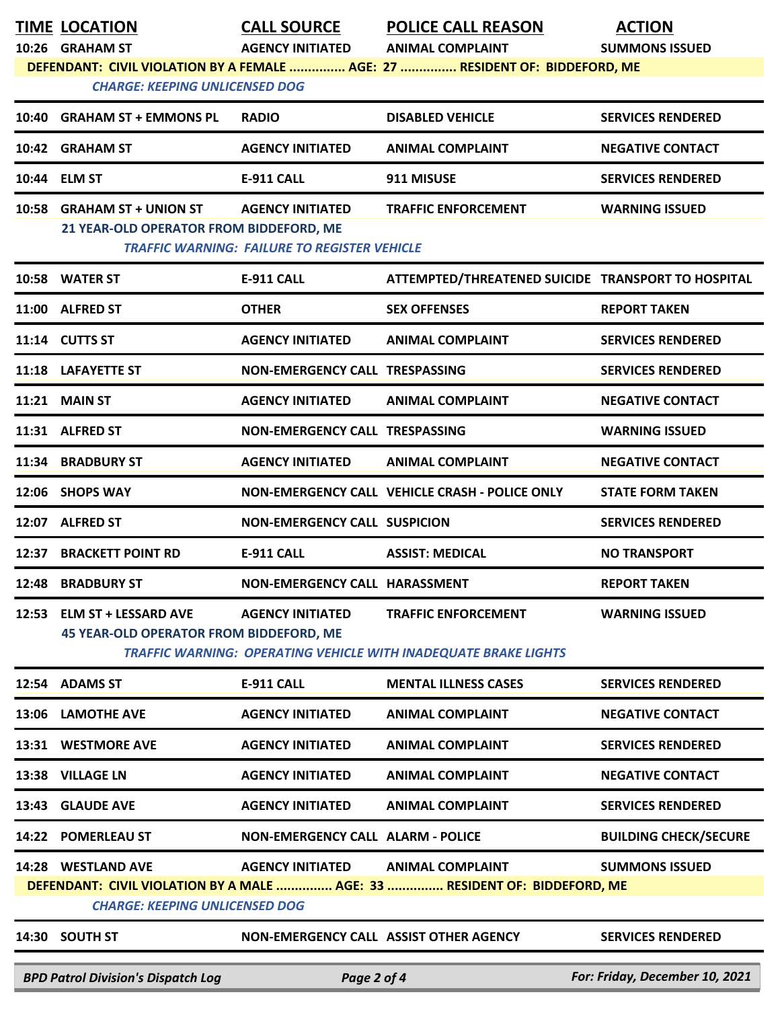|                                                                                                                                                                                                                         | <b>TIME LOCATION</b><br>10:26 GRAHAM ST                                       | <b>CALL SOURCE</b><br><b>AGENCY INITIATED</b>                                  | <b>POLICE CALL REASON</b><br><b>ANIMAL COMPLAINT</b>                                                 | <b>ACTION</b><br><b>SUMMONS ISSUED</b> |
|-------------------------------------------------------------------------------------------------------------------------------------------------------------------------------------------------------------------------|-------------------------------------------------------------------------------|--------------------------------------------------------------------------------|------------------------------------------------------------------------------------------------------|----------------------------------------|
| DEFENDANT: CIVIL VIOLATION BY A FEMALE  AGE: 27  RESIDENT OF: BIDDEFORD, ME<br><b>CHARGE: KEEPING UNLICENSED DOG</b>                                                                                                    |                                                                               |                                                                                |                                                                                                      |                                        |
|                                                                                                                                                                                                                         | 10:40 GRAHAM ST + EMMONS PL                                                   | <b>RADIO</b>                                                                   | <b>DISABLED VEHICLE</b>                                                                              | <b>SERVICES RENDERED</b>               |
|                                                                                                                                                                                                                         | 10:42 GRAHAM ST                                                               | <b>AGENCY INITIATED</b>                                                        | <b>ANIMAL COMPLAINT</b>                                                                              | <b>NEGATIVE CONTACT</b>                |
|                                                                                                                                                                                                                         | 10:44 ELM ST                                                                  | <b>E-911 CALL</b>                                                              | 911 MISUSE                                                                                           | <b>SERVICES RENDERED</b>               |
| 10:58                                                                                                                                                                                                                   | <b>GRAHAM ST + UNION ST</b><br>21 YEAR-OLD OPERATOR FROM BIDDEFORD, ME        | <b>AGENCY INITIATED</b><br><b>TRAFFIC WARNING: FAILURE TO REGISTER VEHICLE</b> | <b>TRAFFIC ENFORCEMENT</b>                                                                           | <b>WARNING ISSUED</b>                  |
|                                                                                                                                                                                                                         | 10:58 WATER ST                                                                | <b>E-911 CALL</b>                                                              | ATTEMPTED/THREATENED SUICIDE TRANSPORT TO HOSPITAL                                                   |                                        |
|                                                                                                                                                                                                                         | 11:00 ALFRED ST                                                               | <b>OTHER</b>                                                                   | <b>SEX OFFENSES</b>                                                                                  | <b>REPORT TAKEN</b>                    |
|                                                                                                                                                                                                                         | 11:14 CUTTS ST                                                                | <b>AGENCY INITIATED</b>                                                        | <b>ANIMAL COMPLAINT</b>                                                                              | <b>SERVICES RENDERED</b>               |
|                                                                                                                                                                                                                         | 11:18 LAFAYETTE ST                                                            | NON-EMERGENCY CALL TRESPASSING                                                 |                                                                                                      | <b>SERVICES RENDERED</b>               |
|                                                                                                                                                                                                                         | <b>11:21 MAIN ST</b>                                                          | <b>AGENCY INITIATED</b>                                                        | <b>ANIMAL COMPLAINT</b>                                                                              | <b>NEGATIVE CONTACT</b>                |
|                                                                                                                                                                                                                         | 11:31 ALFRED ST                                                               | <b>NON-EMERGENCY CALL TRESPASSING</b>                                          |                                                                                                      | <b>WARNING ISSUED</b>                  |
|                                                                                                                                                                                                                         | 11:34 BRADBURY ST                                                             | <b>AGENCY INITIATED</b>                                                        | <b>ANIMAL COMPLAINT</b>                                                                              | <b>NEGATIVE CONTACT</b>                |
|                                                                                                                                                                                                                         | 12:06 SHOPS WAY                                                               |                                                                                | NON-EMERGENCY CALL VEHICLE CRASH - POLICE ONLY                                                       | <b>STATE FORM TAKEN</b>                |
|                                                                                                                                                                                                                         | 12:07 ALFRED ST                                                               | <b>NON-EMERGENCY CALL SUSPICION</b>                                            |                                                                                                      | <b>SERVICES RENDERED</b>               |
| 12:37                                                                                                                                                                                                                   | <b>BRACKETT POINT RD</b>                                                      | <b>E-911 CALL</b>                                                              | <b>ASSIST: MEDICAL</b>                                                                               | <b>NO TRANSPORT</b>                    |
|                                                                                                                                                                                                                         | 12:48 BRADBURY ST                                                             | NON-EMERGENCY CALL HARASSMENT                                                  |                                                                                                      | <b>REPORT TAKEN</b>                    |
| 12:53                                                                                                                                                                                                                   | <b>ELM ST + LESSARD AVE</b><br><b>45 YEAR-OLD OPERATOR FROM BIDDEFORD, ME</b> | <b>AGENCY INITIATED</b>                                                        | <b>TRAFFIC ENFORCEMENT</b><br><b>TRAFFIC WARNING: OPERATING VEHICLE WITH INADEQUATE BRAKE LIGHTS</b> | <b>WARNING ISSUED</b>                  |
|                                                                                                                                                                                                                         | 12:54 ADAMS ST                                                                | E-911 CALL                                                                     | <b>MENTAL ILLNESS CASES</b>                                                                          | <b>SERVICES RENDERED</b>               |
|                                                                                                                                                                                                                         | 13:06 LAMOTHE AVE                                                             | <b>AGENCY INITIATED</b>                                                        | <b>ANIMAL COMPLAINT</b>                                                                              | <b>NEGATIVE CONTACT</b>                |
|                                                                                                                                                                                                                         | 13:31 WESTMORE AVE                                                            | <b>AGENCY INITIATED</b>                                                        | <b>ANIMAL COMPLAINT</b>                                                                              | <b>SERVICES RENDERED</b>               |
|                                                                                                                                                                                                                         | 13:38 VILLAGE LN                                                              | <b>AGENCY INITIATED</b>                                                        | <b>ANIMAL COMPLAINT</b>                                                                              | <b>NEGATIVE CONTACT</b>                |
|                                                                                                                                                                                                                         | 13:43 GLAUDE AVE                                                              | <b>AGENCY INITIATED</b>                                                        | <b>ANIMAL COMPLAINT</b>                                                                              | <b>SERVICES RENDERED</b>               |
|                                                                                                                                                                                                                         | 14:22 POMERLEAU ST                                                            | <b>NON-EMERGENCY CALL ALARM - POLICE</b>                                       |                                                                                                      | <b>BUILDING CHECK/SECURE</b>           |
| 14:28 WESTLAND AVE<br><b>AGENCY INITIATED</b><br><b>ANIMAL COMPLAINT</b><br><b>SUMMONS ISSUED</b><br>DEFENDANT: CIVIL VIOLATION BY A MALE  AGE: 33  RESIDENT OF: BIDDEFORD, ME<br><b>CHARGE: KEEPING UNLICENSED DOG</b> |                                                                               |                                                                                |                                                                                                      |                                        |
|                                                                                                                                                                                                                         | 14:30 SOUTH ST                                                                | NON-EMERGENCY CALL ASSIST OTHER AGENCY                                         |                                                                                                      | <b>SERVICES RENDERED</b>               |
|                                                                                                                                                                                                                         | <b>BPD Patrol Division's Dispatch Log</b>                                     | Page 2 of 4                                                                    |                                                                                                      | For: Friday, December 10, 2021         |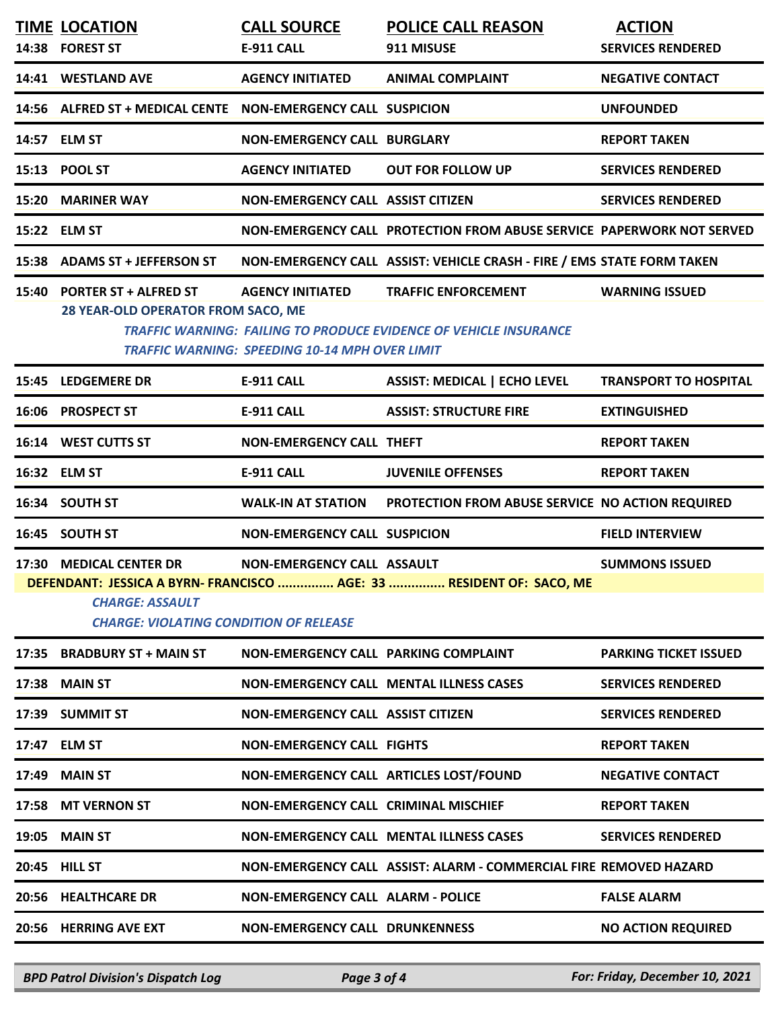| <b>TIME LOCATION</b><br>14:38 FOREST ST                                                            | <b>CALL SOURCE</b><br>E-911 CALL                                                 | <b>POLICE CALL REASON</b><br>911 MISUSE                                                                | <b>ACTION</b><br><b>SERVICES RENDERED</b> |
|----------------------------------------------------------------------------------------------------|----------------------------------------------------------------------------------|--------------------------------------------------------------------------------------------------------|-------------------------------------------|
| 14:41 WESTLAND AVE                                                                                 | <b>AGENCY INITIATED</b>                                                          | <b>ANIMAL COMPLAINT</b>                                                                                | <b>NEGATIVE CONTACT</b>                   |
| 14:56 ALFRED ST + MEDICAL CENTE  NON-EMERGENCY CALL SUSPICION                                      |                                                                                  |                                                                                                        | <b>UNFOUNDED</b>                          |
| 14:57 ELM ST                                                                                       | <b>NON-EMERGENCY CALL BURGLARY</b>                                               |                                                                                                        | <b>REPORT TAKEN</b>                       |
| 15:13 POOL ST                                                                                      | <b>AGENCY INITIATED</b>                                                          | <b>OUT FOR FOLLOW UP</b>                                                                               | <b>SERVICES RENDERED</b>                  |
| 15:20 MARINER WAY                                                                                  | NON-EMERGENCY CALL ASSIST CITIZEN                                                |                                                                                                        | <b>SERVICES RENDERED</b>                  |
| 15:22 ELM ST                                                                                       |                                                                                  | NON-EMERGENCY CALL PROTECTION FROM ABUSE SERVICE PAPERWORK NOT SERVED                                  |                                           |
| 15:38 ADAMS ST + JEFFERSON ST                                                                      |                                                                                  | NON-EMERGENCY CALL ASSIST: VEHICLE CRASH - FIRE / EMS STATE FORM TAKEN                                 |                                           |
| 15:40 PORTER ST + ALFRED ST<br>28 YEAR-OLD OPERATOR FROM SACO, ME                                  | <b>AGENCY INITIATED</b><br><b>TRAFFIC WARNING: SPEEDING 10-14 MPH OVER LIMIT</b> | <b>TRAFFIC ENFORCEMENT</b><br><b>TRAFFIC WARNING: FAILING TO PRODUCE EVIDENCE OF VEHICLE INSURANCE</b> | <b>WARNING ISSUED</b>                     |
| 15:45 LEDGEMERE DR                                                                                 | <b>E-911 CALL</b>                                                                | <b>ASSIST: MEDICAL   ECHO LEVEL</b>                                                                    | <b>TRANSPORT TO HOSPITAL</b>              |
| 16:06 PROSPECT ST                                                                                  | <b>E-911 CALL</b>                                                                | <b>ASSIST: STRUCTURE FIRE</b>                                                                          | <b>EXTINGUISHED</b>                       |
| 16:14 WEST CUTTS ST                                                                                | <b>NON-EMERGENCY CALL THEFT</b>                                                  |                                                                                                        | <b>REPORT TAKEN</b>                       |
| 16:32 ELM ST                                                                                       | <b>E-911 CALL</b>                                                                | <b>JUVENILE OFFENSES</b>                                                                               | <b>REPORT TAKEN</b>                       |
| 16:34 SOUTH ST                                                                                     |                                                                                  | WALK-IN AT STATION PROTECTION FROM ABUSE SERVICE NO ACTION REQUIRED                                    |                                           |
| 16:45 SOUTH ST                                                                                     | <b>NON-EMERGENCY CALL SUSPICION</b>                                              |                                                                                                        | <b>FIELD INTERVIEW</b>                    |
| 17:30 MEDICAL CENTER DR<br><b>CHARGE: ASSAULT</b><br><b>CHARGE: VIOLATING CONDITION OF RELEASE</b> | NON-EMERGENCY CALL ASSAULT                                                       | DEFENDANT: JESSICA A BYRN- FRANCISCO  AGE: 33  RESIDENT OF: SACO, ME                                   | <b>SUMMONS ISSUED</b>                     |
| 17:35 BRADBURY ST + MAIN ST                                                                        | NON-EMERGENCY CALL PARKING COMPLAINT                                             |                                                                                                        | <b>PARKING TICKET ISSUED</b>              |
| 17:38 MAIN ST                                                                                      |                                                                                  | <b>NON-EMERGENCY CALL MENTAL ILLNESS CASES</b>                                                         | <b>SERVICES RENDERED</b>                  |
| 17:39 SUMMIT ST                                                                                    | <b>NON-EMERGENCY CALL ASSIST CITIZEN</b>                                         |                                                                                                        | <b>SERVICES RENDERED</b>                  |
| 17:47 ELM ST                                                                                       | <b>NON-EMERGENCY CALL FIGHTS</b>                                                 |                                                                                                        | <b>REPORT TAKEN</b>                       |
| <b>17:49 MAIN ST</b>                                                                               | NON-EMERGENCY CALL ARTICLES LOST/FOUND                                           |                                                                                                        | <b>NEGATIVE CONTACT</b>                   |
| 17:58 MT VERNON ST                                                                                 | <b>NON-EMERGENCY CALL CRIMINAL MISCHIEF</b>                                      |                                                                                                        | <b>REPORT TAKEN</b>                       |
| <b>19:05 MAIN ST</b>                                                                               |                                                                                  | NON-EMERGENCY CALL MENTAL ILLNESS CASES                                                                | <b>SERVICES RENDERED</b>                  |
| 20:45 HILL ST                                                                                      |                                                                                  | NON-EMERGENCY CALL ASSIST: ALARM - COMMERCIAL FIRE REMOVED HAZARD                                      |                                           |
| 20:56 HEALTHCARE DR                                                                                | <b>NON-EMERGENCY CALL ALARM - POLICE</b>                                         |                                                                                                        | <b>FALSE ALARM</b>                        |
| 20:56 HERRING AVE EXT                                                                              | <b>NON-EMERGENCY CALL DRUNKENNESS</b>                                            |                                                                                                        | <b>NO ACTION REQUIRED</b>                 |
|                                                                                                    |                                                                                  |                                                                                                        |                                           |